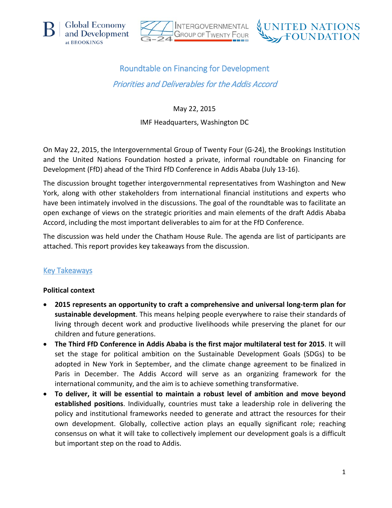





# Roundtable on Financing for Development Priorities and Deliverables for the Addis Accord

May 22, 2015

IMF Headquarters, Washington DC

On May 22, 2015, the Intergovernmental Group of Twenty Four (G-24), the Brookings Institution and the United Nations Foundation hosted a private, informal roundtable on Financing for Development (FfD) ahead of the Third FfD Conference in Addis Ababa (July 13-16).

The discussion brought together intergovernmental representatives from Washington and New York, along with other stakeholders from international financial institutions and experts who have been intimately involved in the discussions. The goal of the roundtable was to facilitate an open exchange of views on the strategic priorities and main elements of the draft Addis Ababa Accord, including the most important deliverables to aim for at the FfD Conference.

The discussion was held under the Chatham House Rule. The agenda are list of participants are attached. This report provides key takeaways from the discussion.

# Key Takeaways

## **Political context**

- **2015 represents an opportunity to craft a comprehensive and universal long-term plan for sustainable development**. This means helping people everywhere to raise their standards of living through decent work and productive livelihoods while preserving the planet for our children and future generations.
- **The Third FfD Conference in Addis Ababa is the first major multilateral test for 2015**. It will set the stage for political ambition on the Sustainable Development Goals (SDGs) to be adopted in New York in September, and the climate change agreement to be finalized in Paris in December. The Addis Accord will serve as an organizing framework for the international community, and the aim is to achieve something transformative.
- **To deliver, it will be essential to maintain a robust level of ambition and move beyond established positions**. Individually, countries must take a leadership role in delivering the policy and institutional frameworks needed to generate and attract the resources for their own development. Globally, collective action plays an equally significant role; reaching consensus on what it will take to collectively implement our development goals is a difficult but important step on the road to Addis.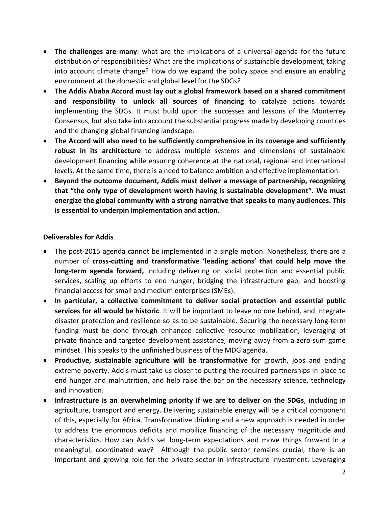- **The challenges are many**: what are the implications of a universal agenda for the future distribution of responsibilities? What are the implications of sustainable development, taking into account climate change? How do we expand the policy space and ensure an enabling environment at the domestic and global level for the SDGs?
- **The Addis Ababa Accord must lay out a global framework based on a shared commitment and responsibility to unlock all sources of financing** to catalyze actions towards implementing the SDGs. It must build upon the successes and lessons of the Monterrey Consensus, but also take into account the substantial progress made by developing countries and the changing global financing landscape.
- **The Accord will also need to be sufficiently comprehensive in its coverage and sufficiently robust in its architecture** to address multiple systems and dimensions of sustainable development financing while ensuring coherence at the national, regional and international levels. At the same time, there is a need to balance ambition and effective implementation.
- **Beyond the outcome document, Addis must deliver a message of partnership, recognizing that "the only type of development worth having is sustainable development". We must energize the global community with a strong narrative that speaks to many audiences. This is essential to underpin implementation and action.**

### **Deliverables for Addis**

- The post-2015 agenda cannot be implemented in a single motion. Nonetheless, there are a number of **cross-cutting and transformative 'leading actions' that could help move the long-term agenda forward,** including delivering on social protection and essential public services, scaling up efforts to end hunger, bridging the infrastructure gap, and boosting financial access for small and medium enterprises (SMEs).
- **In particular, a collective commitment to deliver social protection and essential public services for all would be historic**. It will be important to leave no one behind, and integrate disaster protection and resilience so as to be sustainable. Securing the necessary long-term funding must be done through enhanced collective resource mobilization, leveraging of private finance and targeted development assistance, moving away from a zero-sum game mindset. This speaks to the unfinished business of the MDG agenda.
- **Productive, sustainable agriculture will be transformative** for growth, jobs and ending extreme poverty. Addis must take us closer to putting the required partnerships in place to end hunger and malnutrition, and help raise the bar on the necessary science, technology and innovation.
- **Infrastructure is an overwhelming priority if we are to deliver on the SDGs**, including in agriculture, transport and energy. Delivering sustainable energy will be a critical component of this, especially for Africa. Transformative thinking and a new approach is needed in order to address the enormous deficits and mobilize financing of the necessary magnitude and characteristics. How can Addis set long-term expectations and move things forward in a meaningful, coordinated way? Although the public sector remains crucial, there is an important and growing role for the private sector in infrastructure investment. Leveraging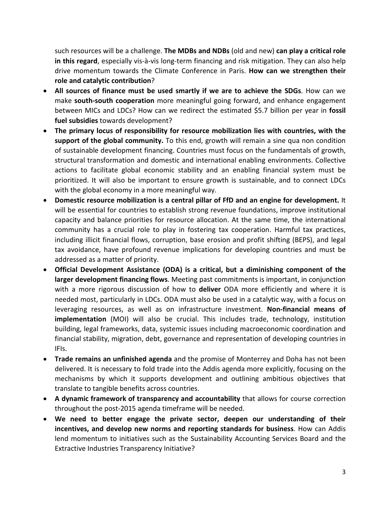such resources will be a challenge. **The MDBs and NDBs** (old and new) **can play a critical role in this regard**, especially vis-à-vis long-term financing and risk mitigation. They can also help drive momentum towards the Climate Conference in Paris. **How can we strengthen their role and catalytic contribution**?

- **All sources of finance must be used smartly if we are to achieve the SDGs**. How can we make **south-south cooperation** more meaningful going forward, and enhance engagement between MICs and LDCs? How can we redirect the estimated \$5.7 billion per year in **fossil fuel subsidies** towards development?
- **The primary locus of responsibility for resource mobilization lies with countries, with the support of the global community.** To this end, growth will remain a sine qua non condition of sustainable development financing. Countries must focus on the fundamentals of growth, structural transformation and domestic and international enabling environments. Collective actions to facilitate global economic stability and an enabling financial system must be prioritized. It will also be important to ensure growth is sustainable, and to connect LDCs with the global economy in a more meaningful way.
- **Domestic resource mobilization is a central pillar of FfD and an engine for development.** It will be essential for countries to establish strong revenue foundations, improve institutional capacity and balance priorities for resource allocation. At the same time, the international community has a crucial role to play in fostering tax cooperation. Harmful tax practices, including illicit financial flows, corruption, base erosion and profit shifting (BEPS), and legal tax avoidance, have profound revenue implications for developing countries and must be addressed as a matter of priority.
- **Official Development Assistance (ODA) is a critical, but a diminishing component of the larger development financing flows**. Meeting past commitments is important, in conjunction with a more rigorous discussion of how to **deliver** ODA more efficiently and where it is needed most, particularly in LDCs. ODA must also be used in a catalytic way, with a focus on leveraging resources, as well as on infrastructure investment. **Non-financial means of implementation** (MOI) will also be crucial. This includes trade, technology, institution building, legal frameworks, data, systemic issues including macroeconomic coordination and financial stability, migration, debt, governance and representation of developing countries in IFIs.
- **Trade remains an unfinished agenda** and the promise of Monterrey and Doha has not been delivered. It is necessary to fold trade into the Addis agenda more explicitly, focusing on the mechanisms by which it supports development and outlining ambitious objectives that translate to tangible benefits across countries.
- **A dynamic framework of transparency and accountability** that allows for course correction throughout the post-2015 agenda timeframe will be needed.
- **We need to better engage the private sector, deepen our understanding of their incentives, and develop new norms and reporting standards for business**. How can Addis lend momentum to initiatives such as the Sustainability Accounting Services Board and the Extractive Industries Transparency Initiative?